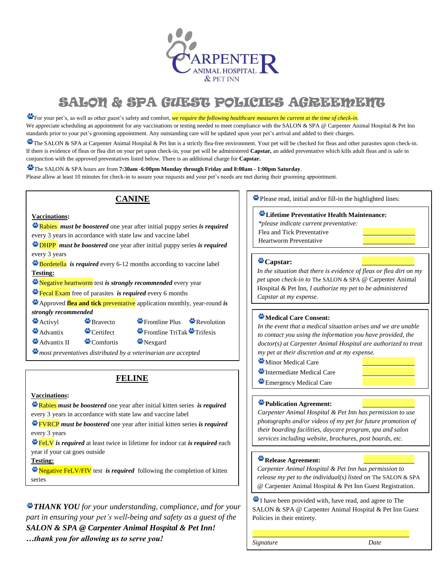

# SALON & SPA GUEST POLICIES AGREEMENT

For your pet's, as well as other guest's safety and comfort, *we require the following healthcare measures be current at the time of check-in.* We appreciate scheduling an appointment for any vaccinations or testing needed to meet compliance with the SALON & SPA @ Carpenter Animal Hospital & Pet Inn standards prior to your pet's grooming appointment. Any outstanding care will be updated upon your pet's arrival and added to their charges.

The SALON & SPA at Carpenter Animal Hospital & Pet Inn is a strictly flea-free environment. Your pet will be checked for fleas and other parasites upon check-in. If there is evidence of fleas or flea dirt on your pet upon check-in, your pet will be administered **Capstar***,* an added preventative which kills adult fleas and is safe in conjunction with the approved preventatives listed below. There is an additional charge for **Capstar.**

The SALON & SPA hours are from **7:30am -6:00pm Monday through Friday and 8:00am - 1:00pm Saturday**. Please allow at least 10 minutes for check-in to assure your requests and your pet's needs are met during their grooming appointment.

# **CANINE**

### **Vaccinations:**

Rabies *must be boostered* one year after initial puppy series *is required* every 3 years in accordance with state law and vaccine label

DHPP *must be boostered* one year after initial puppy series *is required* every 3 years

**Bordetella** *is required* every 6-12 months according to vaccine label **Testing:** 

Negative heartworm test *is strongly recommended* every year

**Figure 2** Figure Figure **Exam** free of parasites *is required* every 6 months

 Fecal Exam free of parasites every year Approved **flea and tick** preventative application monthly, year-round *is strongly recommended*

- $\mathbf{\mathfrak{B}}$ Activyl  $\mathbf{\mathfrak{B}}$  Bravecto  $\mathbf{\mathfrak{B}}$  Frontline Plus  $\mathbf{\mathfrak{B}}$  Revolution
- $\triangle$  Advantix  $\triangle$  Certifect  $\triangle$  Frontline TriTak  $\triangle$  Trifexis

 $\triangle$  Advantix II  $\triangle$  Comfortis  $\triangle$  Nexgard

*most preventatives distributed by a veterinarian are accepted*

## **FELINE**

**Vaccinations:** 

 every 3 years in accordance with state law and vaccine label Rabies *must be boostered* one year after initial kitten series *is required*

FVRCP *must be boostered* one year after initial kitten series *is required* every 3 years

FeLV *is required* at least twice in lifetime for indoor cat *is required* each year if your cat goes outside

**Testing:** 

**Negative FeLV/FIV** test *is required* following the completion of kitten series

*THANK YOU for your understanding, compliance, and for your part in ensuring your pet's well-being and safety as a guest of the SALON & SPA @ Carpenter Animal Hospital & Pet Inn! …thank you for allowing us to serve you!* 

Please read, initial and/or fill-in the highlighted lines:

### **Lifetime Preventative Health Maintenance:**

*\*please indicate current preventative:* Flea and Tick Preventative

Heartworm Preventative

**Capstar:**  *In the situation that there is evidence of fleas or flea dirt on my pet upon check-in to* The SALON & SPA @ Carpenter Animal Hospital & Pet Inn*, I authorize my pet to be administered Capstar at my expense.*

## **Medical Care Consent:**

*In the event that a medical situation arises and we are unable to contact you using the information you have provided, the doctor(s) at Carpenter Animal Hospital are authorized to treat my pet at their discretion and at my expense.* 

**Minor Medical Care** 

- Intermediate Medical Care
- **Emergency Medical Care**

## **Publication Agreement:**

*Carpenter Animal Hospital & Pet Inn has permission to use photographs and/or videos of my pet for future promotion of their boarding facilities, daycare program, spa and salon services including website, brochures, post boards, etc.*

### **Release Agreement:**

*Carpenter Animal Hospital & Pet Inn has permission to release my pet to the individual(s) listed on* The SALON & SPA @ Carpenter Animal Hospital & Pet Inn Guest Registration.

I have been provided with, have read, and agree to The SALON & SPA @ Carpenter Animal Hospital & Pet Inn Guest Policies in their entirety. İ

*Signature Date*